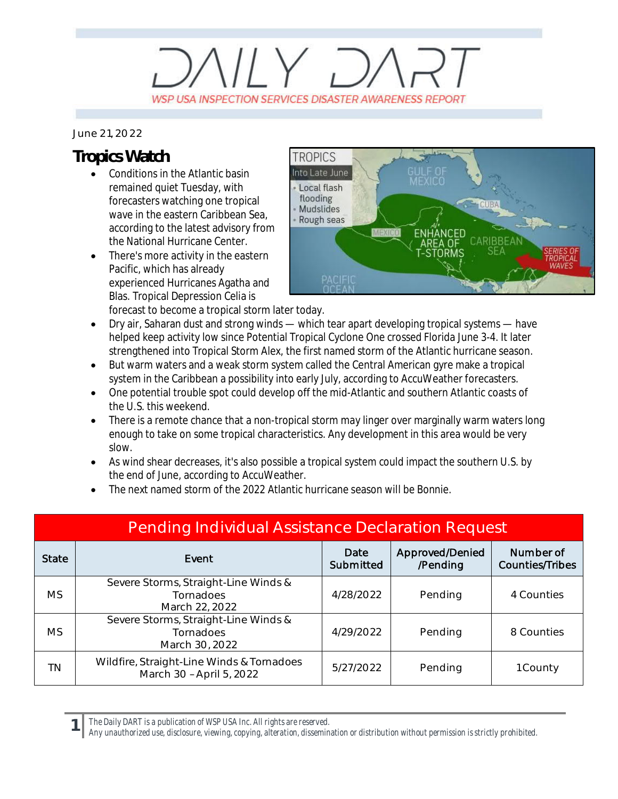## $11 \times 7$ WSP USA INSPECTION SERVICES DISASTER AWARENESS REPORT

## *June 21, 2022*

## **Tropics Watch**

- Conditions in the Atlantic basin remained quiet Tuesday, with forecasters watching one tropical wave in the eastern Caribbean Sea, according to the latest advisory from the National Hurricane Center.
- There's more activity in the eastern Pacific, which has already experienced Hurricanes Agatha and Blas. Tropical Depression Celia is forecast to become a tropical storm later today.



· Dry air, Saharan dust and strong winds — which tear apart developing tropical systems — have helped keep activity low since Potential Tropical Cyclone One crossed Florida June 3-4. It later strengthened into Tropical Storm Alex, the first named storm of the Atlantic hurricane season.

- But warm waters and a weak storm system called the Central American gyre make a tropical system in the Caribbean a possibility into early July, according to AccuWeather forecasters.
- · One potential trouble spot could develop off the mid-Atlantic and southern Atlantic coasts of the U.S. this weekend.
- There is a remote chance that a non-tropical storm may linger over marginally warm waters long enough to take on some tropical characteristics. Any development in this area would be very slow.
- As wind shear decreases, it's also possible a tropical system could impact the southern U.S. by the end of June, according to AccuWeather.
- The next named storm of the 2022 Atlantic hurricane season will be Bonnie.

| <b>Pending Individual Assistance Declaration Request</b> |                                                                       |                   |                             |                                     |  |  |
|----------------------------------------------------------|-----------------------------------------------------------------------|-------------------|-----------------------------|-------------------------------------|--|--|
| <b>State</b>                                             | Event                                                                 | Date<br>Submitted | Approved/Denied<br>/Pending | Number of<br><b>Counties/Tribes</b> |  |  |
| <b>MS</b>                                                | Severe Storms, Straight-Line Winds &<br>Tornadoes<br>March 22, 2022   | 4/28/2022         | Pending                     | 4 Counties                          |  |  |
| <b>MS</b>                                                | Severe Storms, Straight-Line Winds &<br>Tornadoes<br>March 30, 2022   | 4/29/2022         | Pending                     | 8 Counties                          |  |  |
| ΤN                                                       | Wildfire, Straight-Line Winds & Tornadoes<br>March 30 - April 5, 2022 | 5/27/2022         | Pending                     | 1 County                            |  |  |

*The Daily DART is a publication of WSP USA Inc. All rights are reserved.*

**1**

*Any unauthorized use, disclosure, viewing, copying, alteration, dissemination or distribution without permission is strictly prohibited.*